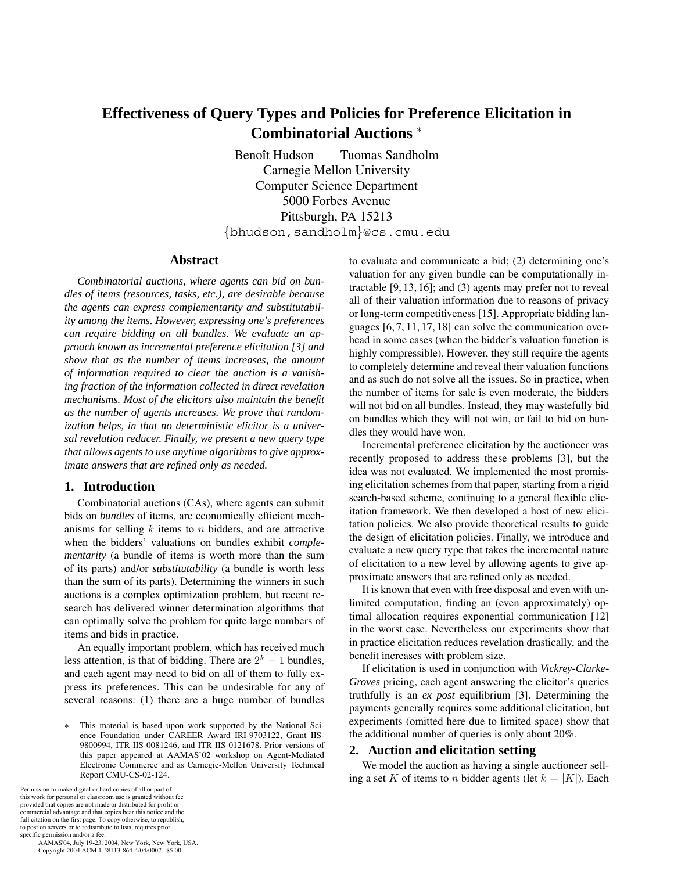# **Effectiveness of Query Types and Policies for Preference Elicitation in Combinatorial Auctions** <sup>∗</sup>

Benoît Hudson Tuomas Sandholm Carnegie Mellon University Computer Science Department 5000 Forbes Avenue Pittsburgh, PA 15213 {bhudson,sandholm}@cs.cmu.edu

### **Abstract**

*Combinatorial auctions, where agents can bid on bundles of items (resources, tasks, etc.), are desirable because the agents can express complementarity and substitutability among the items. However, expressing one's preferences can require bidding on all bundles. We evaluate an approach known as incremental preference elicitation [3] and show that as the number of items increases, the amount of information required to clear the auction is a vanishing fraction of the information collected in direct revelation mechanisms. Most of the elicitors also maintain the benefit as the number of agents increases. We prove that randomization helps, in that no deterministic elicitor is a universal revelation reducer. Finally, we present a new query type that allows agents to use anytime algorithms to give approximate answers that are refined only as needed.*

## **1. Introduction**

Combinatorial auctions (CAs), where agents can submit bids on *bundles* of items, are economically efficient mechanisms for selling  $k$  items to  $n$  bidders, and are attractive when the bidders' valuations on bundles exhibit *complementarity* (a bundle of items is worth more than the sum of its parts) and/or *substitutability* (a bundle is worth less than the sum of its parts). Determining the winners in such auctions is a complex optimization problem, but recent research has delivered winner determination algorithms that can optimally solve the problem for quite large numbers of items and bids in practice.

An equally important problem, which has received much less attention, is that of bidding. There are  $2<sup>k</sup> - 1$  bundles, and each agent may need to bid on all of them to fully express its preferences. This can be undesirable for any of several reasons: (1) there are a huge number of bundles

Permission to make digital or hard copies of all or part of this work for personal or classroom use is granted without fee provided that copies are not made or distributed for profit or commercial advantage and that copies bear this notice and the full citation on the first page. To copy otherwise, to republish, to post on servers or to redistribute to lists, requires prior specific permission and/or a fee.

 AAMAS'04, July 19-23, 2004, New York, New York, USA. Copyright 2004 ACM 1-58113-864-4/04/0007...\$5.00

to evaluate and communicate a bid; (2) determining one's valuation for any given bundle can be computationally intractable [9, 13, 16]; and (3) agents may prefer not to reveal all of their valuation information due to reasons of privacy or long-term competitiveness [15]. Appropriate bidding languages [6, 7, 11, 17, 18] can solve the communication overhead in some cases (when the bidder's valuation function is highly compressible). However, they still require the agents to completely determine and reveal their valuation functions and as such do not solve all the issues. So in practice, when the number of items for sale is even moderate, the bidders will not bid on all bundles. Instead, they may wastefully bid on bundles which they will not win, or fail to bid on bundles they would have won.

Incremental preference elicitation by the auctioneer was recently proposed to address these problems [3], but the idea was not evaluated. We implemented the most promising elicitation schemes from that paper, starting from a rigid search-based scheme, continuing to a general flexible elicitation framework. We then developed a host of new elicitation policies. We also provide theoretical results to guide the design of elicitation policies. Finally, we introduce and evaluate a new query type that takes the incremental nature of elicitation to a new level by allowing agents to give approximate answers that are refined only as needed.

It is known that even with free disposal and even with unlimited computation, finding an (even approximately) optimal allocation requires exponential communication [12] in the worst case. Nevertheless our experiments show that in practice elicitation reduces revelation drastically, and the benefit increases with problem size.

If elicitation is used in conjunction with *Vickrey-Clarke-Groves* pricing, each agent answering the elicitor's queries truthfully is an *ex post* equilibrium [3]. Determining the payments generally requires some additional elicitation, but experiments (omitted here due to limited space) show that the additional number of queries is only about 20%.

# **2. Auction and elicitation setting**

We model the auction as having a single auctioneer selling a set K of items to n bidder agents (let  $k = |K|$ ). Each

This material is based upon work supported by the National Science Foundation under CAREER Award IRI-9703122, Grant IIS-9800994, ITR IIS-0081246, and ITR IIS-0121678. Prior versions of this paper appeared at AAMAS'02 workshop on Agent-Mediated Electronic Commerce and as Carnegie-Mellon University Technical Report CMU-CS-02-124.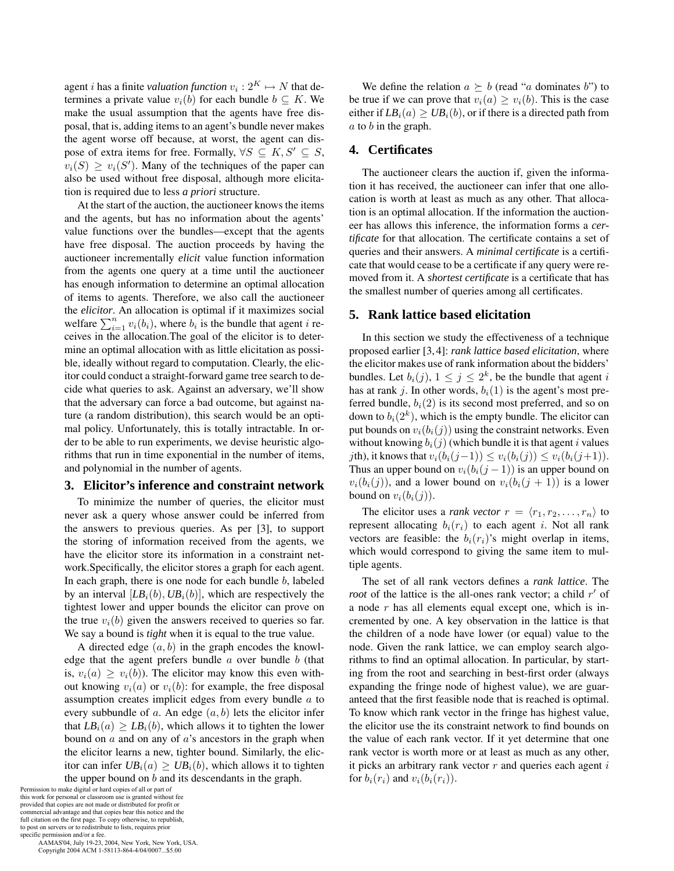agent *i* has a finite *valuation function*  $v_i : 2^K \mapsto N$  that determines a private value  $v_i(b)$  for each bundle  $b \subseteq K$ . We make the usual assumption that the agents have free disposal, that is, adding items to an agent's bundle never makes the agent worse off because, at worst, the agent can dispose of extra items for free. Formally,  $\forall S \subseteq K, S' \subseteq S$ ,  $v_i(S) \ge v_i(S')$ . Many of the techniques of the paper can also be used without free disposal, although more elicitation is required due to less *a priori* structure.

At the start of the auction, the auctioneer knows the items and the agents, but has no information about the agents' value functions over the bundles—except that the agents have free disposal. The auction proceeds by having the auctioneer incrementally *elicit* value function information from the agents one query at a time until the auctioneer has enough information to determine an optimal allocation of items to agents. Therefore, we also call the auctioneer the *elicitor*. An allocation is optimal if it maximizes social welfare  $\sum_{i=1}^{n} v_i(b_i)$ , where  $b_i$  is the bundle that agent i receives in the allocation.The goal of the elicitor is to determine an optimal allocation with as little elicitation as possible, ideally without regard to computation. Clearly, the elicitor could conduct a straight-forward game tree search to decide what queries to ask. Against an adversary, we'll show that the adversary can force a bad outcome, but against nature (a random distribution), this search would be an optimal policy. Unfortunately, this is totally intractable. In order to be able to run experiments, we devise heuristic algorithms that run in time exponential in the number of items, and polynomial in the number of agents.

#### **3. Elicitor's inference and constraint network**

To minimize the number of queries, the elicitor must never ask a query whose answer could be inferred from the answers to previous queries. As per [3], to support the storing of information received from the agents, we have the elicitor store its information in a constraint network.Specifically, the elicitor stores a graph for each agent. In each graph, there is one node for each bundle  $b$ , labeled by an interval  $[LB<sub>i</sub>(b), UB<sub>i</sub>(b)]$ , which are respectively the tightest lower and upper bounds the elicitor can prove on the true  $v_i(b)$  given the answers received to queries so far. We say a bound is *tight* when it is equal to the true value.

A directed edge  $(a, b)$  in the graph encodes the knowledge that the agent prefers bundle  $a$  over bundle  $b$  (that is,  $v_i(a) \ge v_i(b)$ ). The elicitor may know this even without knowing  $v_i(a)$  or  $v_i(b)$ : for example, the free disposal assumption creates implicit edges from every bundle a to every subbundle of a. An edge  $(a, b)$  lets the elicitor infer that  $LB_i(a) \geq LB_i(b)$ , which allows it to tighten the lower bound on  $a$  and on any of  $a$ 's ancestors in the graph when the elicitor learns a new, tighter bound. Similarly, the elicitor can infer  $UB_i(a) \geq UB_i(b)$ , which allows it to tighten the upper bound on b and its descendants in the graph.

Permission to make digital or hard copies of all or part of this work for personal or classroom use is granted without fee provided that copies are not made or distributed for profit or commercial advantage and that copies bear this notice and the full citation on the first page. To copy otherwise, to republish, to post on servers or to redistribute to lists, requires prior specific permission and/or a fee.

 AAMAS'04, July 19-23, 2004, New York, New York, USA. Copyright 2004 ACM 1-58113-864-4/04/0007...\$5.00

We define the relation  $a \succ b$  (read "a dominates b") to be true if we can prove that  $v_i(a) \ge v_i(b)$ . This is the case either if  $LB_i(a) \geq UB_i(b)$ , or if there is a directed path from  $a$  to  $b$  in the graph.

# **4. Certificates**

The auctioneer clears the auction if, given the information it has received, the auctioneer can infer that one allocation is worth at least as much as any other. That allocation is an optimal allocation. If the information the auctioneer has allows this inference, the information forms a *certificate* for that allocation. The certificate contains a set of queries and their answers. A *minimal certificate* is a certificate that would cease to be a certificate if any query were removed from it. A *shortest certificate* is a certificate that has the smallest number of queries among all certificates.

# **5. Rank lattice based elicitation**

In this section we study the effectiveness of a technique proposed earlier [3, 4]: *rank lattice based elicitation*, where the elicitor makes use of rank information about the bidders' bundles. Let  $b_i(j)$ ,  $1 \leq j \leq 2^k$ , be the bundle that agent i has at rank j. In other words,  $b_i(1)$  is the agent's most preferred bundle,  $b_i(2)$  is its second most preferred, and so on down to  $b_i(2^k)$ , which is the empty bundle. The elicitor can put bounds on  $v_i(b_i(j))$  using the constraint networks. Even without knowing  $b_i(j)$  (which bundle it is that agent i values jth), it knows that  $v_i(b_i(j-1)) \le v_i(b_i(j)) \le v_i(b_i(j+1)).$ Thus an upper bound on  $v_i(b_i(j-1))$  is an upper bound on  $v_i(b_i(j))$ , and a lower bound on  $v_i(b_i(j + 1))$  is a lower bound on  $v_i(b_i(j))$ .

The elicitor uses a *rank vector*  $r = \langle r_1, r_2, \dots, r_n \rangle$  to represent allocating  $b_i(r_i)$  to each agent i. Not all rank vectors are feasible: the  $b_i(r_i)$ 's might overlap in items, which would correspond to giving the same item to multiple agents.

The set of all rank vectors defines a *rank lattice*. The *root* of the lattice is the all-ones rank vector; a child  $r'$  of a node r has all elements equal except one, which is incremented by one. A key observation in the lattice is that the children of a node have lower (or equal) value to the node. Given the rank lattice, we can employ search algorithms to find an optimal allocation. In particular, by starting from the root and searching in best-first order (always expanding the fringe node of highest value), we are guaranteed that the first feasible node that is reached is optimal. To know which rank vector in the fringe has highest value, the elicitor use the its constraint network to find bounds on the value of each rank vector. If it yet determine that one rank vector is worth more or at least as much as any other, it picks an arbitrary rank vector  $r$  and queries each agent  $i$ for  $b_i(r_i)$  and  $v_i(b_i(r_i))$ .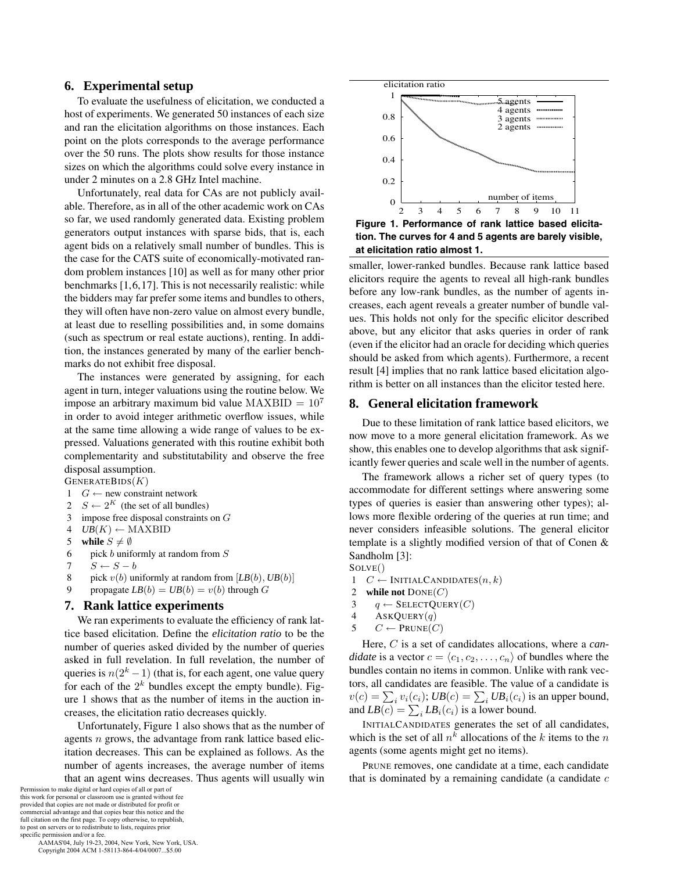# **6. Experimental setup**

To evaluate the usefulness of elicitation, we conducted a host of experiments. We generated 50 instances of each size and ran the elicitation algorithms on those instances. Each point on the plots corresponds to the average performance over the 50 runs. The plots show results for those instance sizes on which the algorithms could solve every instance in under 2 minutes on a 2.8 GHz Intel machine.

Unfortunately, real data for CAs are not publicly available. Therefore, as in all of the other academic work on CAs so far, we used randomly generated data. Existing problem generators output instances with sparse bids, that is, each agent bids on a relatively small number of bundles. This is the case for the CATS suite of economically-motivated random problem instances [10] as well as for many other prior benchmarks [1,6,17]. This is not necessarily realistic: while the bidders may far prefer some items and bundles to others, they will often have non-zero value on almost every bundle, at least due to reselling possibilities and, in some domains (such as spectrum or real estate auctions), renting. In addition, the instances generated by many of the earlier benchmarks do not exhibit free disposal.

The instances were generated by assigning, for each agent in turn, integer valuations using the routine below. We impose an arbitrary maximum bid value MAXBID  $= 10<sup>7</sup>$ in order to avoid integer arithmetic overflow issues, while at the same time allowing a wide range of values to be expressed. Valuations generated with this routine exhibit both complementarity and substitutability and observe the free disposal assumption.

 $GENERATEBIDS(K)$ 

- 1 *G* ← new constraint network<br>2 *S* ← 2<sup>*K*</sup> (the set of all bundle
- 2  $S \leftarrow 2^K$  (the set of all bundles)<br>3 impose free disposal constraints
- impose free disposal constraints on  $G$
- 4 *UB*(*K*) ← MAXBID<br>5 **while**  $S \neq \emptyset$
- 5 while  $S \neq \emptyset$
- 6 pick b uniformly at random from  $S$
- 7  $S \leftarrow S b$ <br>8 pick  $v(b)$  un
- pick  $v(b)$  uniformly at random from  $[LB(b), UB(b)]$
- propagate  $LB(b) = UB(b) = v(b)$  through G

#### **7. Rank lattice experiments**

We ran experiments to evaluate the efficiency of rank lattice based elicitation. Define the *elicitation ratio* to be the number of queries asked divided by the number of queries asked in full revelation. In full revelation, the number of queries is  $n(2<sup>k</sup> - 1)$  (that is, for each agent, one value query for each of the  $2^k$  bundles except the empty bundle). Figure 1 shows that as the number of items in the auction increases, the elicitation ratio decreases quickly.

Unfortunately, Figure 1 also shows that as the number of agents n grows, the advantage from rank lattice based elicitation decreases. This can be explained as follows. As the number of agents increases, the average number of items that an agent wins decreases. Thus agents will usually win

Permission to make digital or hard copies of all or part of this work for personal or classroom use is granted without fee provided that copies are not made or distributed for profit or commercial advantage and that copies bear this notice and the full citation on the first page. To copy otherwise, to republish, to post on servers or to redistribute to lists, requires prior specific permission and/or a fee.

 AAMAS'04, July 19-23, 2004, New York, New York, USA. Copyright 2004 ACM 1-58113-864-4/04/0007...\$5.00



**Figure 1. Performance of rank lattice based elicitation. The curves for 4 and 5 agents are barely visible, at elicitation ratio almost 1.**

smaller, lower-ranked bundles. Because rank lattice based elicitors require the agents to reveal all high-rank bundles before any low-rank bundles, as the number of agents increases, each agent reveals a greater number of bundle values. This holds not only for the specific elicitor described above, but any elicitor that asks queries in order of rank (even if the elicitor had an oracle for deciding which queries should be asked from which agents). Furthermore, a recent result [4] implies that no rank lattice based elicitation algorithm is better on all instances than the elicitor tested here.

## **8. General elicitation framework**

Due to these limitation of rank lattice based elicitors, we now move to a more general elicitation framework. As we show, this enables one to develop algorithms that ask significantly fewer queries and scale well in the number of agents.

The framework allows a richer set of query types (to accommodate for different settings where answering some types of queries is easier than answering other types); allows more flexible ordering of the queries at run time; and never considers infeasible solutions. The general elicitor template is a slightly modified version of that of Conen & Sandholm [3]:

SOLVE()

- 1  $C \leftarrow \text{INITIALCANDIDATES}(n, k)$ <br>2 while not  $\text{DONE}(C)$
- while not  $\text{DONE}(C)$
- 3  $q \leftarrow$  SELECTQUERY(C)<br>4 ASKOUERY(a)
- $AskQUERY(q)$
- 5  $C$  ← PRUNE(C)

Here, C is a set of candidates allocations, where a *candidate* is a vector  $c = \langle c_1, c_2, \dots, c_n \rangle$  of bundles where the bundles contain no items in common. Unlike with rank vectors, all candidates are feasible. The value of a candidate is  $v(c) = \sum_i v_i(c_i)$ ;  $UB(c) = \sum_i UB_i(c_i)$  is an upper bound, and  $LB(c) = \sum_i LB_i(c_i)$  is a lower bound.

INITIALCANDIDATES generates the set of all candidates, which is the set of all  $n^k$  allocations of the k items to the n agents (some agents might get no items).

PRUNE removes, one candidate at a time, each candidate that is dominated by a remaining candidate (a candidate  $c$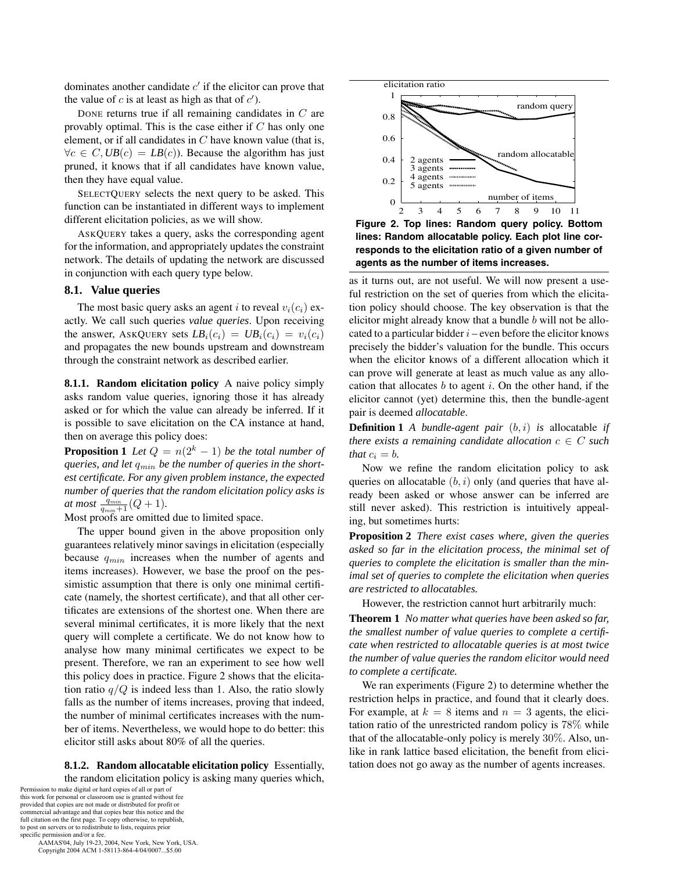dominates another candidate  $c'$  if the elicitor can prove that the value of c is at least as high as that of  $c'$ ).

DONE returns true if all remaining candidates in C are provably optimal. This is the case either if  $C$  has only one element, or if all candidates in  $C$  have known value (that is,  $\forall c \in C, UB(c) = LB(c)$ . Because the algorithm has just pruned, it knows that if all candidates have known value, then they have equal value.

SELECTQUERY selects the next query to be asked. This function can be instantiated in different ways to implement different elicitation policies, as we will show.

ASKQUERY takes a query, asks the corresponding agent for the information, and appropriately updates the constraint network. The details of updating the network are discussed in conjunction with each query type below.

# **8.1. Value queries**

The most basic query asks an agent i to reveal  $v_i(c_i)$  exactly. We call such queries *value queries*. Upon receiving the answer, ASKQUERY sets  $LB_i(c_i) = UB_i(c_i) = v_i(c_i)$ and propagates the new bounds upstream and downstream through the constraint network as described earlier.

**8.1.1. Random elicitation policy** A naive policy simply asks random value queries, ignoring those it has already asked or for which the value can already be inferred. If it is possible to save elicitation on the CA instance at hand, then on average this policy does:

**Proposition 1** *Let*  $Q = n(2^k - 1)$  *be the total number of queries, and let* qmin *be the number of queries in the shortest certificate. For any given problem instance, the expected number of queries that the random elicitation policy asks is at most*  $\frac{q_{min}}{q_{min}+1}$  (Q + 1)*.* 

Most proofs are omitted due to limited space.

The upper bound given in the above proposition only guarantees relatively minor savings in elicitation (especially because  $q_{min}$  increases when the number of agents and items increases). However, we base the proof on the pessimistic assumption that there is only one minimal certificate (namely, the shortest certificate), and that all other certificates are extensions of the shortest one. When there are several minimal certificates, it is more likely that the next query will complete a certificate. We do not know how to analyse how many minimal certificates we expect to be present. Therefore, we ran an experiment to see how well this policy does in practice. Figure 2 shows that the elicitation ratio  $q/Q$  is indeed less than 1. Also, the ratio slowly falls as the number of items increases, proving that indeed, the number of minimal certificates increases with the number of items. Nevertheless, we would hope to do better: this elicitor still asks about 80% of all the queries.

**8.1.2. Random allocatable elicitation policy** Essentially, the random elicitation policy is asking many queries which,

Permission to make digital or hard copies of all or part of this work for personal or classroom use is granted without fee provided that copies are not made or distributed for profit or commercial advantage and that copies bear this notice and the full citation on the first page. To copy otherwise, to republish, to post on servers or to redistribute to lists, requires prior specific permission and/or a fee.

 AAMAS'04, July 19-23, 2004, New York, New York, USA. Copyright 2004 ACM 1-58113-864-4/04/0007...\$5.00



**Figure 2. Top lines: Random query policy. Bottom lines: Random allocatable policy. Each plot line corresponds to the elicitation ratio of a given number of agents as the number of items increases.**

as it turns out, are not useful. We will now present a useful restriction on the set of queries from which the elicitation policy should choose. The key observation is that the elicitor might already know that a bundle  $b$  will not be allocated to a particular bidder  $i$  – even before the elicitor knows precisely the bidder's valuation for the bundle. This occurs when the elicitor knows of a different allocation which it can prove will generate at least as much value as any allocation that allocates  $b$  to agent  $i$ . On the other hand, if the elicitor cannot (yet) determine this, then the bundle-agent pair is deemed *allocatable*.

**Definition 1** *A bundle-agent pair* (b, i) *is* allocatable *if there exists a remaining candidate allocation*  $c \in C$  *such that*  $c_i = b$ .

Now we refine the random elicitation policy to ask queries on allocatable  $(b, i)$  only (and queries that have already been asked or whose answer can be inferred are still never asked). This restriction is intuitively appealing, but sometimes hurts:

**Proposition 2** *There exist cases where, given the queries asked so far in the elicitation process, the minimal set of queries to complete the elicitation is smaller than the minimal set of queries to complete the elicitation when queries are restricted to allocatables.*

However, the restriction cannot hurt arbitrarily much:

**Theorem 1** *No matter what queries have been asked so far, the smallest number of value queries to complete a certificate when restricted to allocatable queries is at most twice the number of value queries the random elicitor would need to complete a certificate.*

We ran experiments (Figure 2) to determine whether the restriction helps in practice, and found that it clearly does. For example, at  $k = 8$  items and  $n = 3$  agents, the elicitation ratio of the unrestricted random policy is 78% while that of the allocatable-only policy is merely 30%. Also, unlike in rank lattice based elicitation, the benefit from elicitation does not go away as the number of agents increases.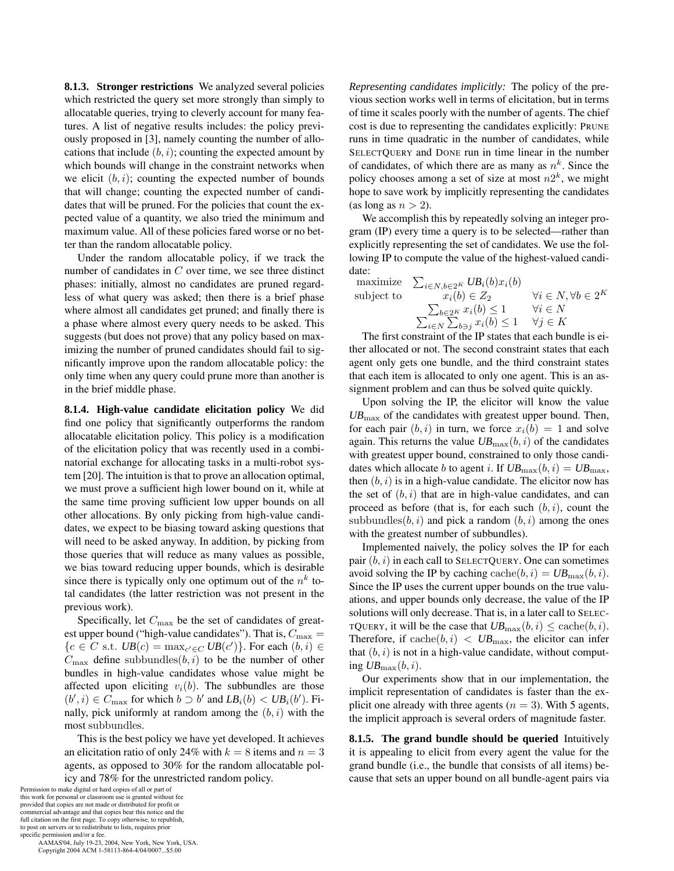**8.1.3. Stronger restrictions** We analyzed several policies which restricted the query set more strongly than simply to allocatable queries, trying to cleverly account for many features. A list of negative results includes: the policy previously proposed in [3], namely counting the number of allocations that include  $(b, i)$ ; counting the expected amount by which bounds will change in the constraint networks when we elicit  $(b, i)$ ; counting the expected number of bounds that will change; counting the expected number of candidates that will be pruned. For the policies that count the expected value of a quantity, we also tried the minimum and maximum value. All of these policies fared worse or no better than the random allocatable policy.

Under the random allocatable policy, if we track the number of candidates in  $C$  over time, we see three distinct phases: initially, almost no candidates are pruned regardless of what query was asked; then there is a brief phase where almost all candidates get pruned; and finally there is a phase where almost every query needs to be asked. This suggests (but does not prove) that any policy based on maximizing the number of pruned candidates should fail to significantly improve upon the random allocatable policy: the only time when any query could prune more than another is in the brief middle phase.

**8.1.4. High-value candidate elicitation policy** We did find one policy that significantly outperforms the random allocatable elicitation policy. This policy is a modification of the elicitation policy that was recently used in a combinatorial exchange for allocating tasks in a multi-robot system [20]. The intuition is that to prove an allocation optimal, we must prove a sufficient high lower bound on it, while at the same time proving sufficient low upper bounds on all other allocations. By only picking from high-value candidates, we expect to be biasing toward asking questions that will need to be asked anyway. In addition, by picking from those queries that will reduce as many values as possible, we bias toward reducing upper bounds, which is desirable since there is typically only one optimum out of the  $n^k$  total candidates (the latter restriction was not present in the previous work).

Specifically, let  $C_{\text{max}}$  be the set of candidates of greatest upper bound ("high-value candidates"). That is,  $C_{\text{max}} =$  ${c \in C \text{ s.t. } UB(c) = \max_{c' \in C} UB(c')}$ . For each  $(b, i) \in$  $C_{\text{max}}$  define subbundles $(b, i)$  to be the number of other bundles in high-value candidates whose value might be affected upon eliciting  $v_i(b)$ . The subbundles are those  $(b', i) \in C_{\text{max}}$  for which  $b \supset b'$  and  $LB_i(b) < UB_i(b')$ . Finally, pick uniformly at random among the  $(b, i)$  with the most subbundles.

This is the best policy we have yet developed. It achieves an elicitation ratio of only 24% with  $k = 8$  items and  $n = 3$ agents, as opposed to 30% for the random allocatable policy and 78% for the unrestricted random policy.

Permission to make digital or hard copies of all or part of this work for personal or classroom use is granted without fee provided that copies are not made or distributed for profit or commercial advantage and that copies bear this notice and the full citation on the first page. To copy otherwise, to republish, to post on servers or to redistribute to lists, requires prior specific permission and/or a fee.

 AAMAS'04, July 19-23, 2004, New York, New York, USA. Copyright 2004 ACM 1-58113-864-4/04/0007...\$5.00

*Representing candidates implicitly:* The policy of the previous section works well in terms of elicitation, but in terms of time it scales poorly with the number of agents. The chief cost is due to representing the candidates explicitly: PRUNE runs in time quadratic in the number of candidates, while SELECTQUERY and DONE run in time linear in the number of candidates, of which there are as many as  $n<sup>k</sup>$ . Since the policy chooses among a set of size at most  $n2^k$ , we might hope to save work by implicitly representing the candidates (as long as  $n > 2$ ).

We accomplish this by repeatedly solving an integer program (IP) every time a query is to be selected—rather than explicitly representing the set of candidates. We use the following IP to compute the value of the highest-valued candidate:

maximize 
$$
\sum_{i \in N, b \in 2^K} UB_i(b)x_i(b)
$$
  
\nsubject to  
\n $x_i(b) \in Z_2$   $\forall i \in N, \forall b \in 2^K$   
\n $\sum_{b \in 2^K} x_i(b) \le 1$   $\forall i \in N$   
\n $\sum_{i \in N} \sum_{b \ni j} x_i(b) \le 1$   $\forall j \in K$ 

The first constraint of the IP states that each bundle is either allocated or not. The second constraint states that each agent only gets one bundle, and the third constraint states that each item is allocated to only one agent. This is an assignment problem and can thus be solved quite quickly.

Upon solving the IP, the elicitor will know the value *UB*max of the candidates with greatest upper bound. Then, for each pair  $(b, i)$  in turn, we force  $x_i(b)=1$  and solve again. This returns the value  $UB_{\text{max}}(b, i)$  of the candidates with greatest upper bound, constrained to only those candidates which allocate b to agent i. If  $UB_{\text{max}}(b, i) = UB_{\text{max}}$ , then  $(b, i)$  is in a high-value candidate. The elicitor now has the set of  $(b, i)$  that are in high-value candidates, and can proceed as before (that is, for each such  $(b, i)$ , count the subbundles $(b, i)$  and pick a random  $(b, i)$  among the ones with the greatest number of subbundles).

Implemented naively, the policy solves the IP for each pair  $(b, i)$  in each call to SELECTQUERY. One can sometimes avoid solving the IP by caching  $\text{cache}(b, i) = UB_{\text{max}}(b, i)$ . Since the IP uses the current upper bounds on the true valuations, and upper bounds only decrease, the value of the IP solutions will only decrease. That is, in a later call to SELEC-TQUERY, it will be the case that  $UB_{\text{max}}(b, i) \leq \text{cache}(b, i)$ . Therefore, if  $\operatorname{cache}(b, i) < UB_{\max}$ , the elicitor can infer that  $(b, i)$  is not in a high-value candidate, without computing  $UB_{\text{max}}(b, i)$ .

Our experiments show that in our implementation, the implicit representation of candidates is faster than the explicit one already with three agents  $(n = 3)$ . With 5 agents, the implicit approach is several orders of magnitude faster.

**8.1.5. The grand bundle should be queried** Intuitively it is appealing to elicit from every agent the value for the grand bundle (i.e., the bundle that consists of all items) because that sets an upper bound on all bundle-agent pairs via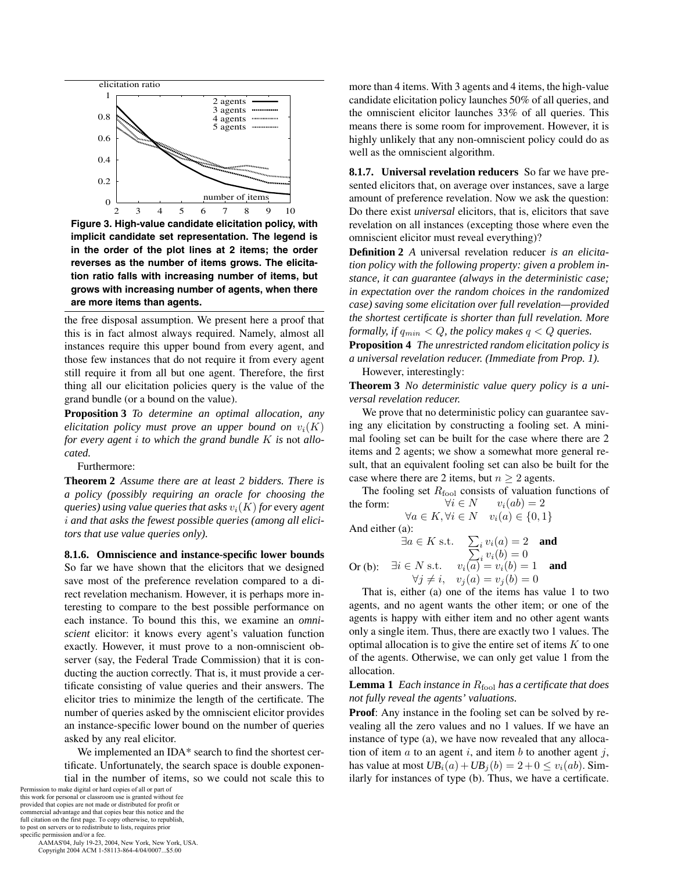

**Figure 3. High-value candidate elicitation policy, with implicit candidate set representation. The legend is in the order of the plot lines at 2 items; the order reverses as the number of items grows. The elicitation ratio falls with increasing number of items, but grows with increasing number of agents, when there are more items than agents.**

the free disposal assumption. We present here a proof that this is in fact almost always required. Namely, almost all instances require this upper bound from every agent, and those few instances that do not require it from every agent still require it from all but one agent. Therefore, the first thing all our elicitation policies query is the value of the grand bundle (or a bound on the value).

**Proposition 3** *To determine an optimal allocation, any elicitation policy must prove an upper bound on*  $v_i(K)$ *for every agent* i *to which the grand bundle* K *is* not *allocated.*

Furthermore:

**Theorem 2** *Assume there are at least 2 bidders. There is a policy (possibly requiring an oracle for choosing the queries) using value queries that asks*  $v_i(K)$  *for* every *agent* i *and that asks the fewest possible queries (among all elicitors that use value queries only).*

**8.1.6. Omniscience and instance-specific lower bounds** So far we have shown that the elicitors that we designed save most of the preference revelation compared to a direct revelation mechanism. However, it is perhaps more interesting to compare to the best possible performance on each instance. To bound this this, we examine an *omniscient* elicitor: it knows every agent's valuation function exactly. However, it must prove to a non-omniscient observer (say, the Federal Trade Commission) that it is conducting the auction correctly. That is, it must provide a certificate consisting of value queries and their answers. The elicitor tries to minimize the length of the certificate. The number of queries asked by the omniscient elicitor provides an instance-specific lower bound on the number of queries asked by any real elicitor.

We implemented an IDA\* search to find the shortest certificate. Unfortunately, the search space is double exponential in the number of items, so we could not scale this to

Permission to make digital or hard copies of all or part of this work for personal or classroom use is granted without fee provided that copies are not made or distributed for profit or commercial advantage and that copies bear this notice and the full citation on the first page. To copy otherwise, to republish, to post on servers or to redistribute to lists, requires prior specific permission and/or a fee.

 AAMAS'04, July 19-23, 2004, New York, New York, USA. Copyright 2004 ACM 1-58113-864-4/04/0007...\$5.00

more than 4 items. With 3 agents and 4 items, the high-value candidate elicitation policy launches 50% of all queries, and the omniscient elicitor launches 33% of all queries. This means there is some room for improvement. However, it is highly unlikely that any non-omniscient policy could do as well as the omniscient algorithm.

**8.1.7. Universal revelation reducers** So far we have presented elicitors that, on average over instances, save a large amount of preference revelation. Now we ask the question: Do there exist *universal* elicitors, that is, elicitors that save revelation on all instances (excepting those where even the omniscient elicitor must reveal everything)?

**Definition 2** *A* universal revelation reducer *is an elicitation policy with the following property: given a problem instance, it can guarantee (always in the deterministic case; in expectation over the random choices in the randomized case) saving some elicitation over full revelation—provided the shortest certificate is shorter than full revelation. More formally, if*  $q_{min} < Q$ *, the policy makes*  $q < Q$  *queries.* **Proposition 4** *The unrestricted random elicitation policy is a universal revelation reducer. (Immediate from Prop. 1).*

However, interestingly:

**Theorem 3** *No deterministic value query policy is a universal revelation reducer.*

We prove that no deterministic policy can guarantee saving any elicitation by constructing a fooling set. A minimal fooling set can be built for the case where there are 2 items and 2 agents; we show a somewhat more general result, that an equivalent fooling set can also be built for the case where there are 2 items, but  $n \geq 2$  agents.

The fooling set  $R_{\text{fool}}$  consists of valuation functions of  $\forall i \in N$   $v_i(ab) = 2$ the form:  $\forall i \in N$   $v_i(ab) = 2$  $\forall a \in K, \forall i \in N \quad v_i(a) \in \{0,1\}$ 

And either (a):

$$
\exists a \in K \text{ s.t. } \sum_{i} v_i(a) = 2 \text{ and }
$$
  

$$
\sum_{i} v_i(b) = 0
$$

Or (b): 
$$
\exists i \in N \text{ s.t. } v_i(a) = v_i(b) = 1
$$
 and  
\n $\forall j \neq i, v_j(a) = v_j(b) = 0$ 

That is, either (a) one of the items has value 1 to two agents, and no agent wants the other item; or one of the agents is happy with either item and no other agent wants only a single item. Thus, there are exactly two 1 values. The optimal allocation is to give the entire set of items  $K$  to one of the agents. Otherwise, we can only get value 1 from the allocation.

## **Lemma 1** *Each instance in*  $R_{\text{fool}}$  *has a certificate that does not fully reveal the agents' valuations.*

**Proof**: Any instance in the fooling set can be solved by revealing all the zero values and no 1 values. If we have an instance of type (a), we have now revealed that any allocation of item  $a$  to an agent  $i$ , and item  $b$  to another agent  $j$ , has value at most  $UB_i(a) + UB_j(b) = 2 + 0 \le v_i(ab)$ . Similarly for instances of type (b). Thus, we have a certificate.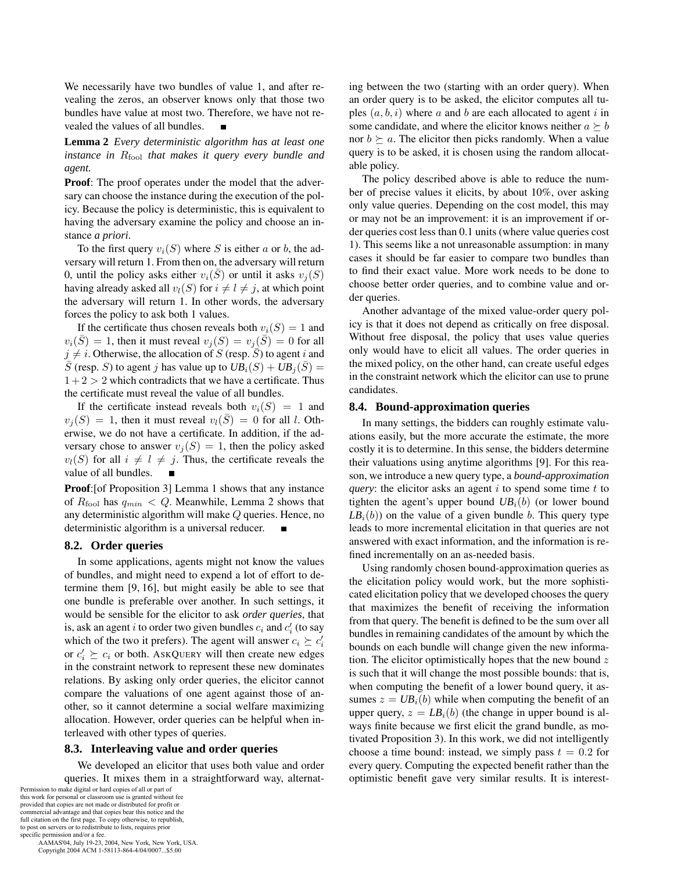We necessarily have two bundles of value 1, and after revealing the zeros, an observer knows only that those two bundles have value at most two. Therefore, we have not revealed the values of all bundles.

**Lemma 2** *Every deterministic algorithm has at least one instance in*  $R_{\text{fool}}$  *that makes it query every bundle and agent.*

**Proof**: The proof operates under the model that the adversary can choose the instance during the execution of the policy. Because the policy is deterministic, this is equivalent to having the adversary examine the policy and choose an instance *a priori*.

To the first query  $v_i(S)$  where S is either a or b, the adversary will return 1. From then on, the adversary will return 0, until the policy asks either  $v_i(S)$  or until it asks  $v_i(S)$ having already asked all  $v_l(S)$  for  $i \neq l \neq j$ , at which point the adversary will return 1. In other words, the adversary forces the policy to ask both 1 values.

If the certificate thus chosen reveals both  $v_i(S)=1$  and  $v_i(\overline{S})=1$ , then it must reveal  $v_j(S) = v_j(\overline{S})=0$  for all  $j \neq i$ . Otherwise, the allocation of S (resp. S) to agent i and S (resp. S) to agent j has value up to  $UB_i(S) + UB_j(S) =$  $1+2 > 2$  which contradicts that we have a certificate. Thus the certificate must reveal the value of all bundles.

If the certificate instead reveals both  $v_i(S)=1$  and  $v_i(S)=1$ , then it must reveal  $v_i(S)=0$  for all l. Otherwise, we do not have a certificate. In addition, if the adversary chose to answer  $v_i(S)=1$ , then the policy asked  $v_l(S)$  for all  $i \neq l \neq j$ . Thus, the certificate reveals the value of all bundles.

**Proof**:[of Proposition 3] Lemma 1 shows that any instance of  $R_{\text{fool}}$  has  $q_{min} < Q$ . Meanwhile, Lemma 2 shows that any deterministic algorithm will make  $\mathbb Q$  queries. Hence, no deterministic algorithm is a universal reducer.

# **8.2. Order queries**

In some applications, agents might not know the values of bundles, and might need to expend a lot of effort to determine them [9, 16], but might easily be able to see that one bundle is preferable over another. In such settings, it would be sensible for the elicitor to ask *order queries*, that is, ask an agent  $i$  to order two given bundles  $c_i$  and  $c_i^\prime$  (to say which of the two it prefers). The agent will answer  $c_i \succeq c'_i$ or  $c'_i \succeq c_i$  or both. ASKQUERY will then create new edges in the constraint network to represent these new dominates relations. By asking only order queries, the elicitor cannot compare the valuations of one agent against those of another, so it cannot determine a social welfare maximizing allocation. However, order queries can be helpful when interleaved with other types of queries.

## **8.3. Interleaving value and order queries**

We developed an elicitor that uses both value and order queries. It mixes them in a straightforward way, alternat-

Permission to make digital or hard copies of all or part of this work for personal or classroom use is granted without fee provided that copies are not made or distributed for profit or commercial advantage and that copies bear this notice and the full citation on the first page. To copy otherwise, to republish, to post on servers or to redistribute to lists, requires prior specific permission and/or a fee.

 AAMAS'04, July 19-23, 2004, New York, New York, USA. Copyright 2004 ACM 1-58113-864-4/04/0007...\$5.00

ing between the two (starting with an order query). When an order query is to be asked, the elicitor computes all tuples  $(a, b, i)$  where a and b are each allocated to agent i in some candidate, and where the elicitor knows neither  $a \succeq b$ nor  $b \succeq a$ . The elicitor then picks randomly. When a value query is to be asked, it is chosen using the random allocatable policy.

The policy described above is able to reduce the number of precise values it elicits, by about 10%, over asking only value queries. Depending on the cost model, this may or may not be an improvement: it is an improvement if order queries cost less than 0.1 units (where value queries cost 1). This seems like a not unreasonable assumption: in many cases it should be far easier to compare two bundles than to find their exact value. More work needs to be done to choose better order queries, and to combine value and order queries.

Another advantage of the mixed value-order query policy is that it does not depend as critically on free disposal. Without free disposal, the policy that uses value queries only would have to elicit all values. The order queries in the mixed policy, on the other hand, can create useful edges in the constraint network which the elicitor can use to prune candidates.

#### **8.4. Bound-approximation queries**

In many settings, the bidders can roughly estimate valuations easily, but the more accurate the estimate, the more costly it is to determine. In this sense, the bidders determine their valuations using anytime algorithms [9]. For this reason, we introduce a new query type, a *bound-approximation query*: the elicitor asks an agent  $i$  to spend some time  $t$  to tighten the agent's upper bound  $UB<sub>i</sub>(b)$  (or lower bound  $LB<sub>i</sub>(b)$  on the value of a given bundle b. This query type leads to more incremental elicitation in that queries are not answered with exact information, and the information is refined incrementally on an as-needed basis.

Using randomly chosen bound-approximation queries as the elicitation policy would work, but the more sophisticated elicitation policy that we developed chooses the query that maximizes the benefit of receiving the information from that query. The benefit is defined to be the sum over all bundles in remaining candidates of the amount by which the bounds on each bundle will change given the new information. The elicitor optimistically hopes that the new bound  $z$ is such that it will change the most possible bounds: that is, when computing the benefit of a lower bound query, it assumes  $z = UB<sub>i</sub>(b)$  while when computing the benefit of an upper query,  $z = LB<sub>i</sub>(b)$  (the change in upper bound is always finite because we first elicit the grand bundle, as motivated Proposition 3). In this work, we did not intelligently choose a time bound: instead, we simply pass  $t = 0.2$  for every query. Computing the expected benefit rather than the optimistic benefit gave very similar results. It is interest-